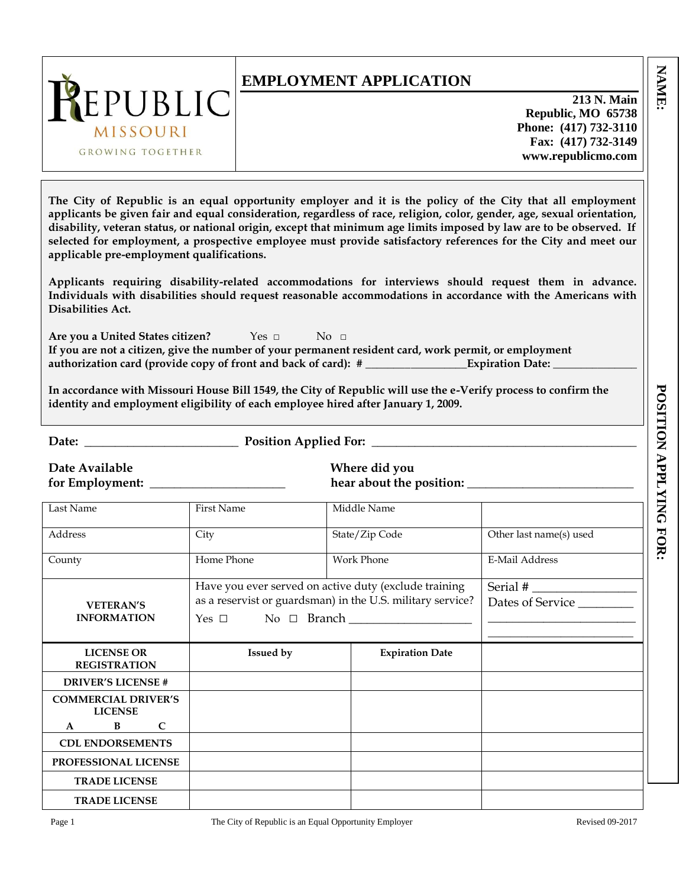| REPUBLIC<br>MISSOURI<br>GROWING TOGETHER  | <b>EMPLOYMENT APPLICATION</b><br>213 N. Main<br>Republic, MO 65738<br>Phone: (417) 732-3110<br>Fax: (417) 732-3149<br>www.republicmo.com                                                                                                                                                                                                                                                                                                                                        |
|-------------------------------------------|---------------------------------------------------------------------------------------------------------------------------------------------------------------------------------------------------------------------------------------------------------------------------------------------------------------------------------------------------------------------------------------------------------------------------------------------------------------------------------|
| applicable pre-employment qualifications. | The City of Republic is an equal opportunity employer and it is the policy of the City that all employment<br>applicants be given fair and equal consideration, regardless of race, religion, color, gender, age, sexual orientation,<br>disability, veteran status, or national origin, except that minimum age limits imposed by law are to be observed. If<br>selected for employment, a prospective employee must provide satisfactory references for the City and meet our |
| Disabilities Act.                         | Applicants requiring disability-related accommodations for interviews should request them in advance.<br>Individuals with disabilities should request reasonable accommodations in accordance with the Americans with                                                                                                                                                                                                                                                           |
| Are you a United States citizen?          | $Yes \Box$<br>$\overline{N}$ $\Omega$ $\Box$<br>If you are not a citizen, give the number of your permanent resident card, work permit, or employment                                                                                                                                                                                                                                                                                                                           |

**Are you a United States citizen?** Yes □ No □ **If you are not a citizen, give the number of your permanent resident card, work permit, or employment authorization card (provide copy of front and back of card): # \_\_\_\_\_\_\_\_\_\_\_\_\_\_\_\_\_\_Expiration Date: \_\_\_\_\_\_\_\_\_\_\_\_\_\_\_**

**In accordance with Missouri House Bill 1549, the City of Republic will use the e-Verify process to confirm the identity and employment eligibility of each employee hired after January 1, 2009.** 

**Date:** \_\_\_\_\_\_\_\_\_\_\_\_\_\_\_\_\_\_\_\_\_\_\_\_\_ **Position Applied For:** \_\_\_\_\_\_\_\_\_\_\_\_\_\_\_\_\_\_\_\_\_\_\_\_\_\_\_\_\_\_\_\_\_\_\_\_\_\_\_\_\_\_\_

**Date Available Where did you**

for Employment: **the about the position:** Learning the about the position:

| Last Name                                      | <b>First Name</b> | Middle Name                                                |                         |
|------------------------------------------------|-------------------|------------------------------------------------------------|-------------------------|
| Address                                        | City              | State/Zip Code                                             | Other last name(s) used |
| County                                         | Home Phone        | <b>Work Phone</b>                                          | E-Mail Address          |
|                                                |                   | Have you ever served on active duty (exclude training      |                         |
| <b>VETERAN'S</b>                               |                   | as a reservist or guardsman) in the U.S. military service? | Dates of Service        |
| <b>INFORMATION</b>                             |                   | $Yes \Box \qquad No \Box \qquad Branch \_\_$               |                         |
|                                                |                   |                                                            |                         |
| <b>LICENSE OR</b>                              | <b>Issued by</b>  | <b>Expiration Date</b>                                     |                         |
| <b>REGISTRATION</b>                            |                   |                                                            |                         |
| <b>DRIVER'S LICENSE#</b>                       |                   |                                                            |                         |
| <b>COMMERCIAL DRIVER'S</b>                     |                   |                                                            |                         |
| <b>LICENSE</b><br>$B \qquad C$<br>$\mathbf{A}$ |                   |                                                            |                         |
|                                                |                   |                                                            |                         |
| <b>CDL ENDORSEMENTS</b>                        |                   |                                                            |                         |
| <b>PROFESSIONAL LICENSE</b>                    |                   |                                                            |                         |
| <b>TRADE LICENSE</b>                           |                   |                                                            |                         |
| <b>TRADE LICENSE</b>                           |                   |                                                            |                         |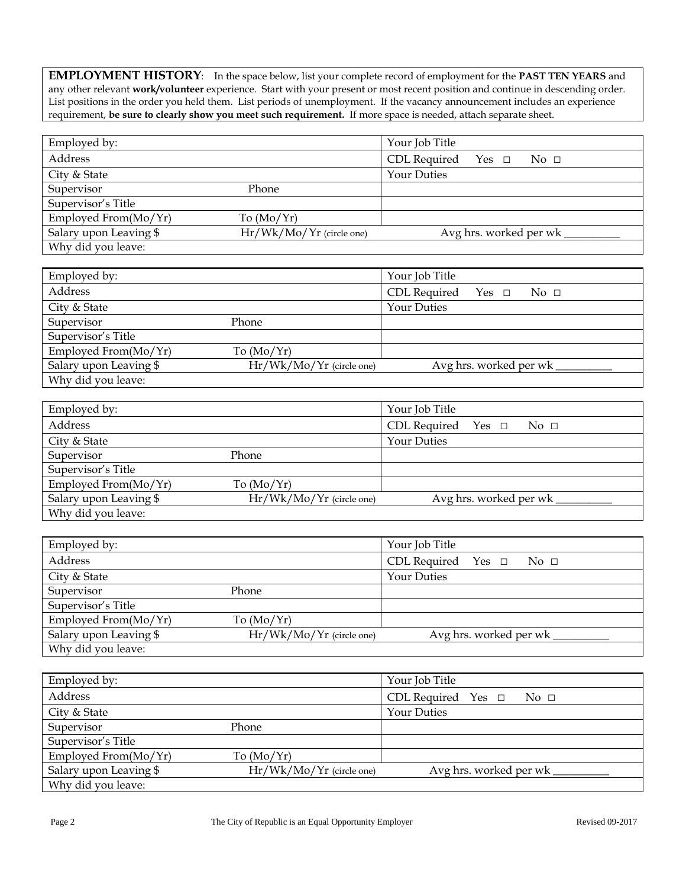**EMPLOYMENT HISTORY**: In the space below, list your complete record of employment for the **PAST TEN YEARS** and any other relevant **work/volunteer** experience. Start with your present or most recent position and continue in descending order. List positions in the order you held them. List periods of unemployment. If the vacancy announcement includes an experience requirement, **be sure to clearly show you meet such requirement.** If more space is needed, attach separate sheet.

| Employed by:            |                            | Your Job Title                                        |
|-------------------------|----------------------------|-------------------------------------------------------|
| Address                 |                            | CDL Required<br>$Yes \Box$<br>$\overline{N}$ o $\Box$ |
| City & State            |                            | <b>Your Duties</b>                                    |
| Supervisor              | Phone                      |                                                       |
| Supervisor's Title      |                            |                                                       |
| Employed From $(Mo/Yr)$ | To $(Mo/Yr)$               |                                                       |
| Salary upon Leaving \$  | $Hr/Wk/Mo/Yr$ (circle one) | Avg hrs. worked per wk                                |
| Why did you leave:      |                            |                                                       |

| Employed by:           |                            | Your Job Title                                     |
|------------------------|----------------------------|----------------------------------------------------|
| Address                |                            | CDL Required Yes $\Box$<br>$\mathrm{No}$ $\square$ |
| City & State           |                            | <b>Your Duties</b>                                 |
| Supervisor             | Phone                      |                                                    |
| Supervisor's Title     |                            |                                                    |
| Employed From(Mo/Yr)   | To $(Mo/Yr)$               |                                                    |
| Salary upon Leaving \$ | $Hr/Wk/Mo/Yr$ (circle one) | Avg hrs. worked per wk                             |
| Why did you leave:     |                            |                                                    |

| Employed by:           |                            | Your Job Title                          |
|------------------------|----------------------------|-----------------------------------------|
| Address                |                            | CDL Required Yes $\square$ No $\square$ |
| City & State           |                            | <b>Your Duties</b>                      |
| Supervisor             | Phone                      |                                         |
| Supervisor's Title     |                            |                                         |
| Employed From(Mo/Yr)   | To $(Mo/Yr)$               |                                         |
| Salary upon Leaving \$ | $Hr/Wk/Mo/Yr$ (circle one) | Avg hrs. worked per wk                  |
| Why did you leave:     |                            |                                         |

| Employed by:           |                            | Your Job Title                              |
|------------------------|----------------------------|---------------------------------------------|
|                        |                            |                                             |
| Address                |                            | CDL Required Yes $\Box$<br>$\sim$ No $\Box$ |
|                        |                            |                                             |
| City & State           |                            | Your Duties                                 |
|                        |                            |                                             |
| Supervisor             | Phone                      |                                             |
| Supervisor's Title     |                            |                                             |
|                        |                            |                                             |
| Employed From(Mo/Yr)   | To $(Mo/Yr)$               |                                             |
|                        |                            |                                             |
| Salary upon Leaving \$ | $Hr/Wk/Mo/Yr$ (circle one) | Avg hrs. worked per wk                      |
| Why did you leave:     |                            |                                             |
|                        |                            |                                             |

| Employed by:           |                            | Your Job Title                                     |
|------------------------|----------------------------|----------------------------------------------------|
| Address                |                            | CDL Required Yes $\Box$<br>$\overline{N}$ o $\Box$ |
| City & State           |                            | <b>Your Duties</b>                                 |
| Supervisor             | Phone                      |                                                    |
| Supervisor's Title     |                            |                                                    |
| Employed From(Mo/Yr)   | To $(Mo/Yr)$               |                                                    |
| Salary upon Leaving \$ | $Hr/Wk/Mo/Yr$ (circle one) | Avg hrs. worked per wk                             |
| Why did you leave:     |                            |                                                    |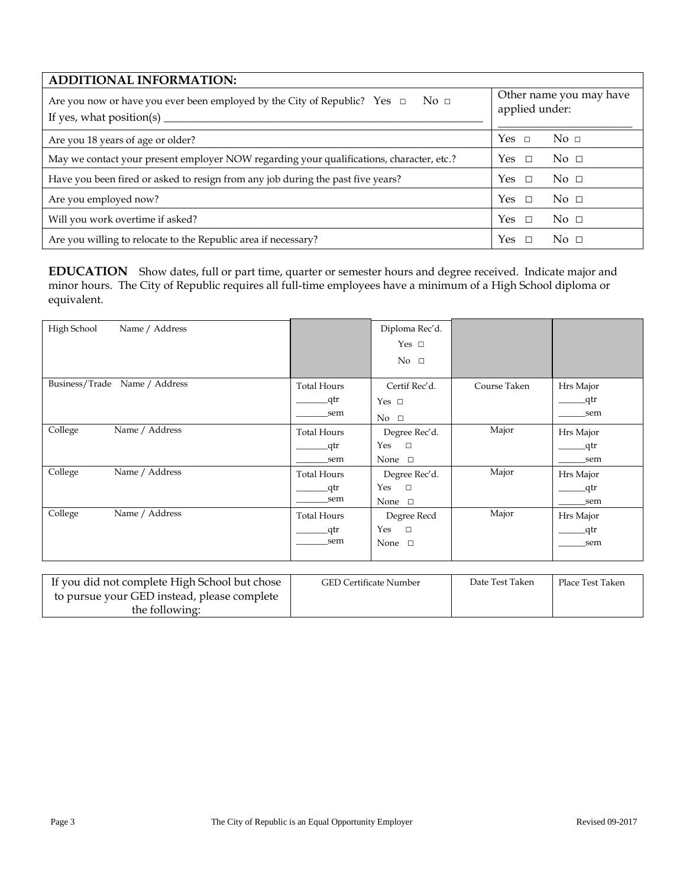| <b>ADDITIONAL INFORMATION:</b>                                                                                                                               |                                           |  |
|--------------------------------------------------------------------------------------------------------------------------------------------------------------|-------------------------------------------|--|
| Are you now or have you ever been employed by the City of Republic? Yes $\Box$<br>$\mathrm{No} \; \Box$<br>If yes, what position(s) $\overline{\phantom{a}}$ | Other name you may have<br>applied under: |  |
| Are you 18 years of age or older?                                                                                                                            | Yes $\Box$<br>No $\Box$                   |  |
| May we contact your present employer NOW regarding your qualifications, character, etc.?                                                                     | $\overline{N}$ $\Omega$<br>Yes            |  |
| Have you been fired or asked to resign from any job during the past five years?                                                                              | Yes<br>No $\Box$<br>$\Box$                |  |
| Are you employed now?                                                                                                                                        | Yes<br>$\overline{N}$ $\Omega$            |  |
| Will you work overtime if asked?                                                                                                                             | Yes<br>$\overline{N}$ $\Omega$            |  |
| Are you willing to relocate to the Republic area if necessary?                                                                                               | <b>Yes</b><br>$\overline{N}$ $\Omega$     |  |

**EDUCATION** Show dates, full or part time, quarter or semester hours and degree received. Indicate major and minor hours. The City of Republic requires all full-time employees have a minimum of a High School diploma or equivalent.

| High School<br>Name / Address    |                    | Diploma Rec'd. |              |           |
|----------------------------------|--------------------|----------------|--------------|-----------|
|                                  |                    | Yes $\square$  |              |           |
|                                  |                    | No $\square$   |              |           |
|                                  |                    |                |              |           |
| Business/Trade<br>Name / Address | <b>Total Hours</b> | Certif Rec'd.  | Course Taken | Hrs Major |
|                                  | _qtr               | Yes $\square$  |              | _qtr      |
|                                  | sem                | $No \square$   |              | sem       |
| College<br>Name / Address        | <b>Total Hours</b> | Degree Rec'd.  | Major        | Hrs Major |
|                                  | _qtr               | Yes<br>$\Box$  |              | _qtr      |
|                                  | sem                | None $\square$ |              | sem       |
| Name / Address<br>College        | <b>Total Hours</b> | Degree Rec'd.  | Major        | Hrs Major |
|                                  | _qtr               | Yes<br>$\Box$  |              | _qtr      |
|                                  | sem                | None $\square$ |              | sem       |
| Name / Address<br>College        | <b>Total Hours</b> | Degree Recd    | Major        | Hrs Major |
|                                  | _qtr               | Yes<br>$\Box$  |              | _qtr      |
|                                  | sem                | None $\square$ |              | sem       |
|                                  |                    |                |              |           |
|                                  |                    |                |              |           |

| If you did not complete High School but chose | <b>GED Certificate Number</b> | Date Test Taken | Place Test Taken |
|-----------------------------------------------|-------------------------------|-----------------|------------------|
| to pursue your GED instead, please complete   |                               |                 |                  |
| the following:                                |                               |                 |                  |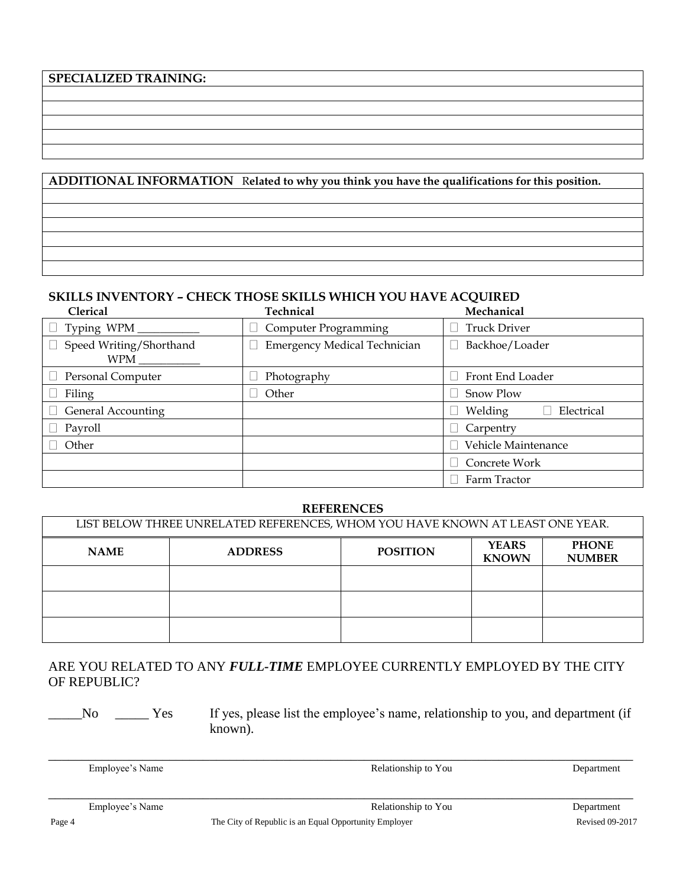# **SPECIALIZED TRAINING:**

# **ADDITIONAL INFORMATION** R**elated to why you think you have the qualifications for this position.**

## **SKILLS INVENTORY – CHECK THOSE SKILLS WHICH YOU HAVE ACQUIRED**

| <b>Clerical</b>                | Technical                           | Mechanical            |
|--------------------------------|-------------------------------------|-----------------------|
| Typing WPM_                    | <b>Computer Programming</b>         | <b>Truck Driver</b>   |
| Speed Writing/Shorthand<br>WPM | <b>Emergency Medical Technician</b> | Backhoe/Loader        |
| Personal Computer              | Photography                         | Front End Loader      |
| Filing                         | Other                               | Snow Plow             |
| <b>General Accounting</b>      |                                     | Welding<br>Electrical |
| Payroll                        |                                     | Carpentry             |
| Other                          |                                     | Vehicle Maintenance   |
|                                |                                     | Concrete Work         |
|                                |                                     | Farm Tractor          |

#### **REFERENCES**

| LIST BELOW THREE UNRELATED REFERENCES, WHOM YOU HAVE KNOWN AT LEAST ONE YEAR. |                |                 |                              |                               |
|-------------------------------------------------------------------------------|----------------|-----------------|------------------------------|-------------------------------|
| <b>NAME</b>                                                                   | <b>ADDRESS</b> | <b>POSITION</b> | <b>YEARS</b><br><b>KNOWN</b> | <b>PHONE</b><br><b>NUMBER</b> |
|                                                                               |                |                 |                              |                               |
|                                                                               |                |                 |                              |                               |
|                                                                               |                |                 |                              |                               |

# ARE YOU RELATED TO ANY *FULL-TIME* EMPLOYEE CURRENTLY EMPLOYED BY THE CITY OF REPUBLIC?

\_\_\_\_\_No \_\_\_\_\_ Yes If yes, please list the employee's name, relationship to you, and department (if known).

| Employee's Name | Relationship to You | Department |
|-----------------|---------------------|------------|
|                 |                     |            |
|                 |                     |            |
| Employee's Name | Relationship to You | Department |
|                 |                     |            |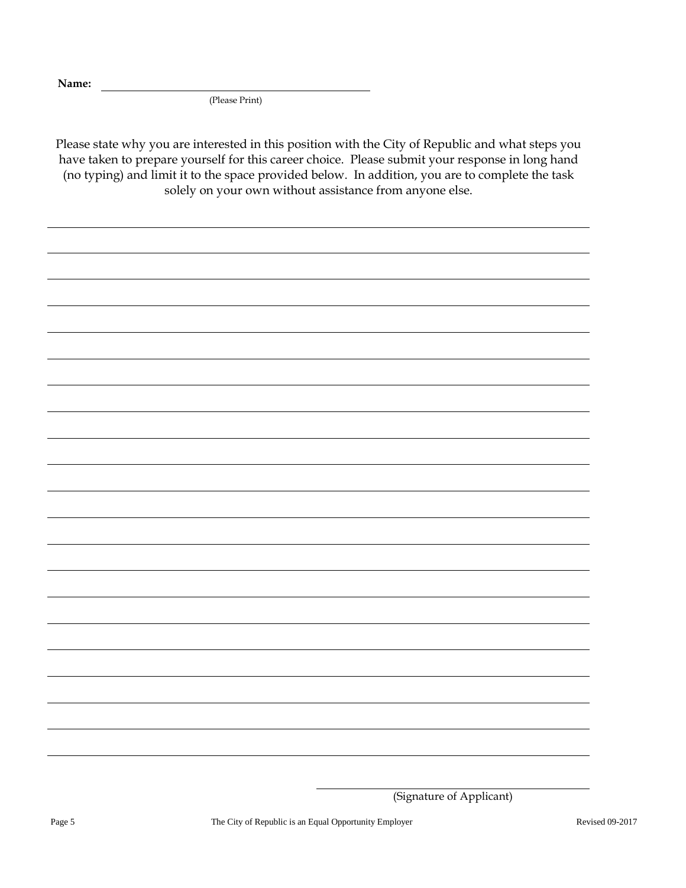**Name:**

(Please Print)

Please state why you are interested in this position with the City of Republic and what steps you have taken to prepare yourself for this career choice. Please submit your response in long hand (no typing) and limit it to the space provided below. In addition, you are to complete the task solely on your own without assistance from anyone else.

<sup>(</sup>Signature of Applicant)